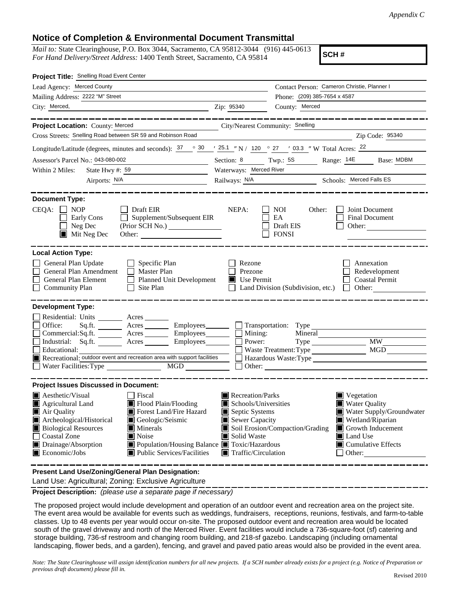## **Notice of Completion & Environmental Document Transmittal**

*Mail to:* State Clearinghouse, P.O. Box 3044, Sacramento, CA 95812-3044 (916) 445-0613 *For Hand Delivery/Street Address:* 1400 Tenth Street, Sacramento, CA 95814

**SCH #**

| Project Title: Snelling Road Event Center                                                                                                                                                                                                                                                                                                                                                                                                                   |                                                                                                                                   |                                                                  |                                                                                                                                                                           |  |  |  |  |
|-------------------------------------------------------------------------------------------------------------------------------------------------------------------------------------------------------------------------------------------------------------------------------------------------------------------------------------------------------------------------------------------------------------------------------------------------------------|-----------------------------------------------------------------------------------------------------------------------------------|------------------------------------------------------------------|---------------------------------------------------------------------------------------------------------------------------------------------------------------------------|--|--|--|--|
| Lead Agency: Merced County                                                                                                                                                                                                                                                                                                                                                                                                                                  | Contact Person: Cameron Christie, Planner I                                                                                       |                                                                  |                                                                                                                                                                           |  |  |  |  |
| Mailing Address: 2222 "M" Street                                                                                                                                                                                                                                                                                                                                                                                                                            |                                                                                                                                   | Phone: (209) 385-7654 x 4587                                     |                                                                                                                                                                           |  |  |  |  |
| City: Merced,                                                                                                                                                                                                                                                                                                                                                                                                                                               | Zip: 95340                                                                                                                        | County: Merced                                                   |                                                                                                                                                                           |  |  |  |  |
|                                                                                                                                                                                                                                                                                                                                                                                                                                                             |                                                                                                                                   |                                                                  |                                                                                                                                                                           |  |  |  |  |
| Project Location: County: Merced<br>City/Nearest Community: Snelling                                                                                                                                                                                                                                                                                                                                                                                        |                                                                                                                                   |                                                                  |                                                                                                                                                                           |  |  |  |  |
| Cross Streets: Snelling Road between SR 59 and Robinson Road                                                                                                                                                                                                                                                                                                                                                                                                |                                                                                                                                   | <u> 1989 - Johann Stein, mars an t-Amerikaansk kommunister (</u> | Zip Code: 95340                                                                                                                                                           |  |  |  |  |
| Longitude/Latitude (degrees, minutes and seconds): $\frac{37}{25}$ $\frac{30}{25}$ $\frac{1}{25.1}$ N / $\frac{120}{25}$ $\frac{27}{27}$ $\frac{03.3}{27}$ W Total Acres: $\frac{22}{27}$                                                                                                                                                                                                                                                                   |                                                                                                                                   |                                                                  |                                                                                                                                                                           |  |  |  |  |
| Assessor's Parcel No.: 043-080-002                                                                                                                                                                                                                                                                                                                                                                                                                          |                                                                                                                                   |                                                                  | Section: 8 Twp.: 5S Range: 14E Base: MDBM                                                                                                                                 |  |  |  |  |
| Within 2 Miles:<br>State Hwy #: $59$                                                                                                                                                                                                                                                                                                                                                                                                                        | Waterways: Merced River                                                                                                           |                                                                  |                                                                                                                                                                           |  |  |  |  |
| Airports: N/A<br><u> 1989 - Johann Barn, mars an t-Amerikaansk kommunister (</u>                                                                                                                                                                                                                                                                                                                                                                            |                                                                                                                                   |                                                                  | Railways: N/A Schools: Merced Falls ES                                                                                                                                    |  |  |  |  |
| <b>Document Type:</b><br>$CEQA: \Box NOP$<br>$\Box$ Draft EIR<br>Supplement/Subsequent EIR<br>Early Cons<br>$\Box$<br>Neg Dec<br>$\blacksquare$ Mit Neg Dec                                                                                                                                                                                                                                                                                                 | NEPA:                                                                                                                             | NOI<br>Other:<br>EA<br>Draft EIS<br><b>FONSI</b>                 | Joint Document<br>Final Document<br>Other: $\qquad \qquad$                                                                                                                |  |  |  |  |
| <b>Local Action Type:</b><br>General Plan Update<br>$\Box$ Specific Plan<br>General Plan Amendment<br>$\Box$ Master Plan<br><b>General Plan Element</b><br>$\Box$ Planned Unit Development<br><b>Community Plan</b><br>Site Plan<br>$\perp$                                                                                                                                                                                                                 | Rezone<br>Prezone<br>$\blacksquare$ Use Permit                                                                                    | Land Division (Subdivision, etc.)                                | Annexation<br>Redevelopment<br><b>Coastal Permit</b><br>Other:<br>$\Box$                                                                                                  |  |  |  |  |
| <b>Development Type:</b><br>Residential: Units ________ Acres _______<br>Sq.ft. _________ Acres __________ Employees________ ___ Transportation: Type ___________<br>Office:<br>Commercial:Sq.ft. ________ Acres _________ Employees ________ __ Mining:<br>Industrial: Sq.ft. _______ Acres ________ Employees________ $\Box$<br>Educational:<br>Recreational: outdoor event and recreation area with support facilities<br>Water Facilities: Type<br>MGD  | Power:                                                                                                                            | Waste Treatment: Type                                            | $\overline{\text{MW}}$<br>MGD<br>Hazardous Waste:Type                                                                                                                     |  |  |  |  |
| <b>Project Issues Discussed in Document:</b><br>$\blacksquare$ Aesthetic/Visual<br><b>Fiscal</b><br>Agricultural Land<br>Flood Plain/Flooding<br>Forest Land/Fire Hazard<br>Air Quality<br>Archeological/Historical<br>Geologic/Seismic<br><b>Biological Resources</b><br>Minerals<br>$\blacksquare$ Noise<br><b>Coastal Zone</b><br>Drainage/Absorption<br>■ Population/Housing Balance ■ Toxic/Hazardous<br>Economic/Jobs<br>■ Public Services/Facilities | Recreation/Parks<br>Schools/Universities<br>Septic Systems<br>Sewer Capacity<br>Solid Waste<br>$\blacksquare$ Traffic/Circulation | Soil Erosion/Compaction/Grading                                  | Vegetation<br><b>Water Quality</b><br>Water Supply/Groundwater<br>Wetland/Riparian<br>$\Box$ Growth Inducement<br>Land Use<br>$\blacksquare$ Cumulative Effects<br>Other: |  |  |  |  |
| <b>Dreasnt Land Llee/Zening/Ceneral Dlan Decignation:</b>                                                                                                                                                                                                                                                                                                                                                                                                   |                                                                                                                                   |                                                                  |                                                                                                                                                                           |  |  |  |  |

**Present Land Use/Zoning/General Plan Designation:**

Land Use: Agricultural; Zoning: Exclusive Agriculture

**Project Description:** *(please use a separate page if necessary)*

 The proposed project would include development and operation of an outdoor event and recreation area on the project site. The event area would be available for events such as weddings, fundraisers, receptions, reunions, festivals, and farm-to-table classes. Up to 48 events per year would occur on-site. The proposed outdoor event and recreation area would be located south of the gravel driveway and north of the Merced River. Event facilities would include a 736-square-foot (sf) catering and storage building, 736-sf restroom and changing room building, and 218-sf gazebo. Landscaping (including ornamental landscaping, flower beds, and a garden), fencing, and gravel and paved patio areas would also be provided in the event area.

*Note: The State Clearinghouse will assign identification numbers for all new projects. If a SCH number already exists for a project (e.g. Notice of Preparation or previous draft document) please fill in.*